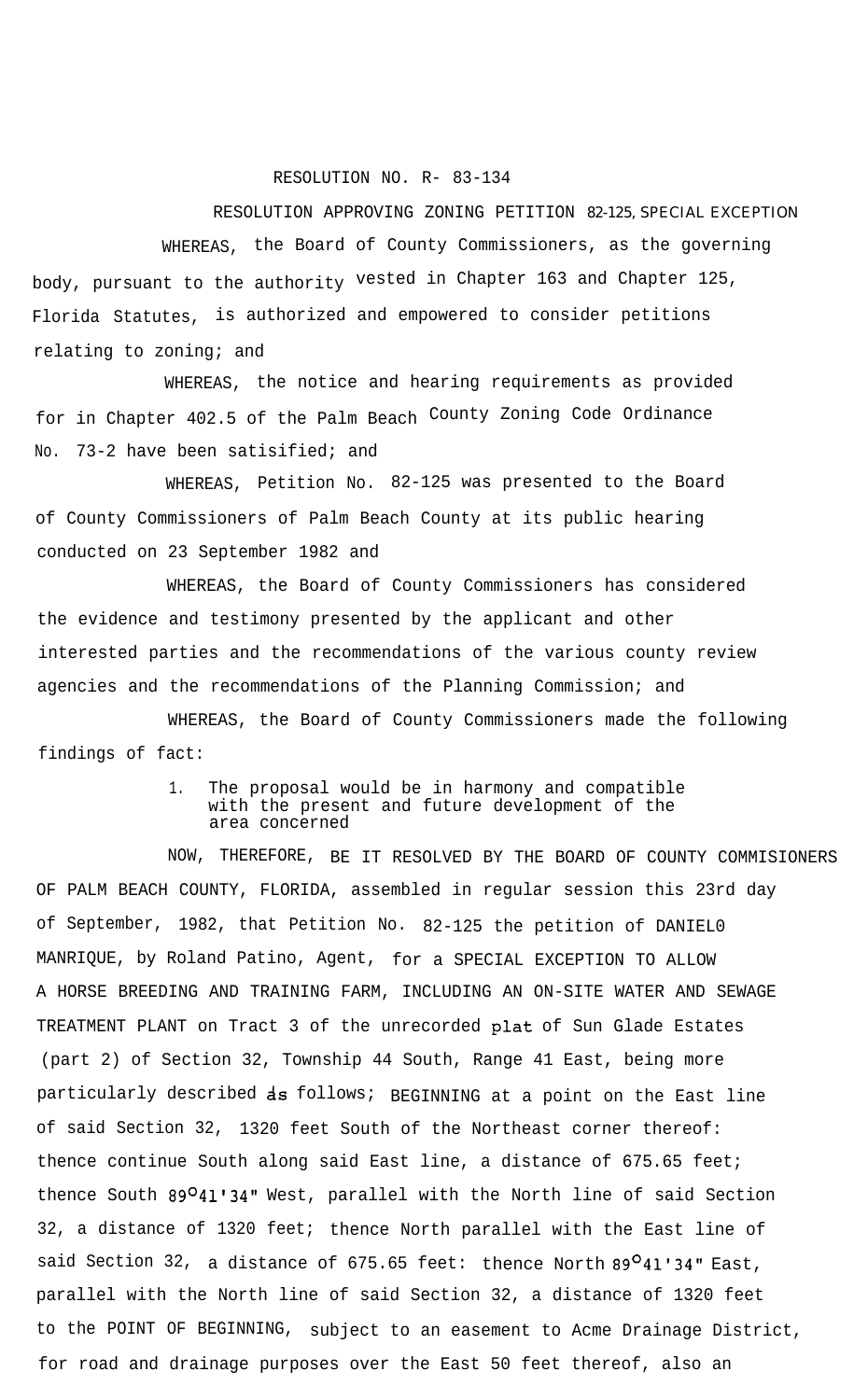## RESOLUTION NO. R- 83-134

RESOLUTION APPROVING ZONING PETITION 82-125, SPECIAL EXCEPTION WHEREAS, the Board of County Commissioners, as the governing body, pursuant to the authority vested in Chapter 163 and Chapter 125, Florida Statutes, is authorized and empowered to consider petitions relating to zoning; and

WHEREAS, the notice and hearing requirements as provided for in Chapter 402.5 of the Palm Beach County Zoning Code Ordinance No. 73-2 have been satisified; and

WHEREAS, Petition No. 82-125 was presented to the Board of County Commissioners of Palm Beach County at its public hearing conducted on 23 September 1982 and

WHEREAS, the Board of County Commissioners has considered the evidence and testimony presented by the applicant and other interested parties and the recommendations of the various county review agencies and the recommendations of the Planning Commission; and

WHEREAS, the Board of County Commissioners made the following findings of fact:

## 1. The proposal would be in harmony and compatible with the present and future development of the area concerned

NOW, THEREFORE, BE IT RESOLVED BY THE BOARD OF COUNTY COMMISIONERS OF PALM BEACH COUNTY, FLORIDA, assembled in regular session this 23rd day of September, 1982, that Petition No. 82-125 the petition of DANIEL0 MANRIQUE, by Roland Patino, Agent, for a SPECIAL EXCEPTION TO ALLOW A HORSE BREEDING AND TRAINING FARM, INCLUDING AN ON-SITE WATER AND SEWAGE TREATMENT PLANT on Tract 3 of the unrecorded plat of Sun Glade Estates (part 2) of Section 32, Township 44 South, Range 41 East, being more particularly described **as** follows; BEGINNING at a point on the East line of said Section 32, 1320 feet South of the Northeast corner thereof: thence continue South along said East line, a distance of 675.65 feet; thence South 89O41'34" West, parallel with the North line of said Section 32, a distance of 1320 feet; thence North parallel with the East line of said Section 32, a distance of 675.65 feet: thence North  $89^O41'34''$  East, parallel with the North line of said Section 32, a distance of 1320 feet to the POINT OF BEGINNING, subject to an easement to Acme Drainage District, for road and drainage purposes over the East 50 feet thereof, also an